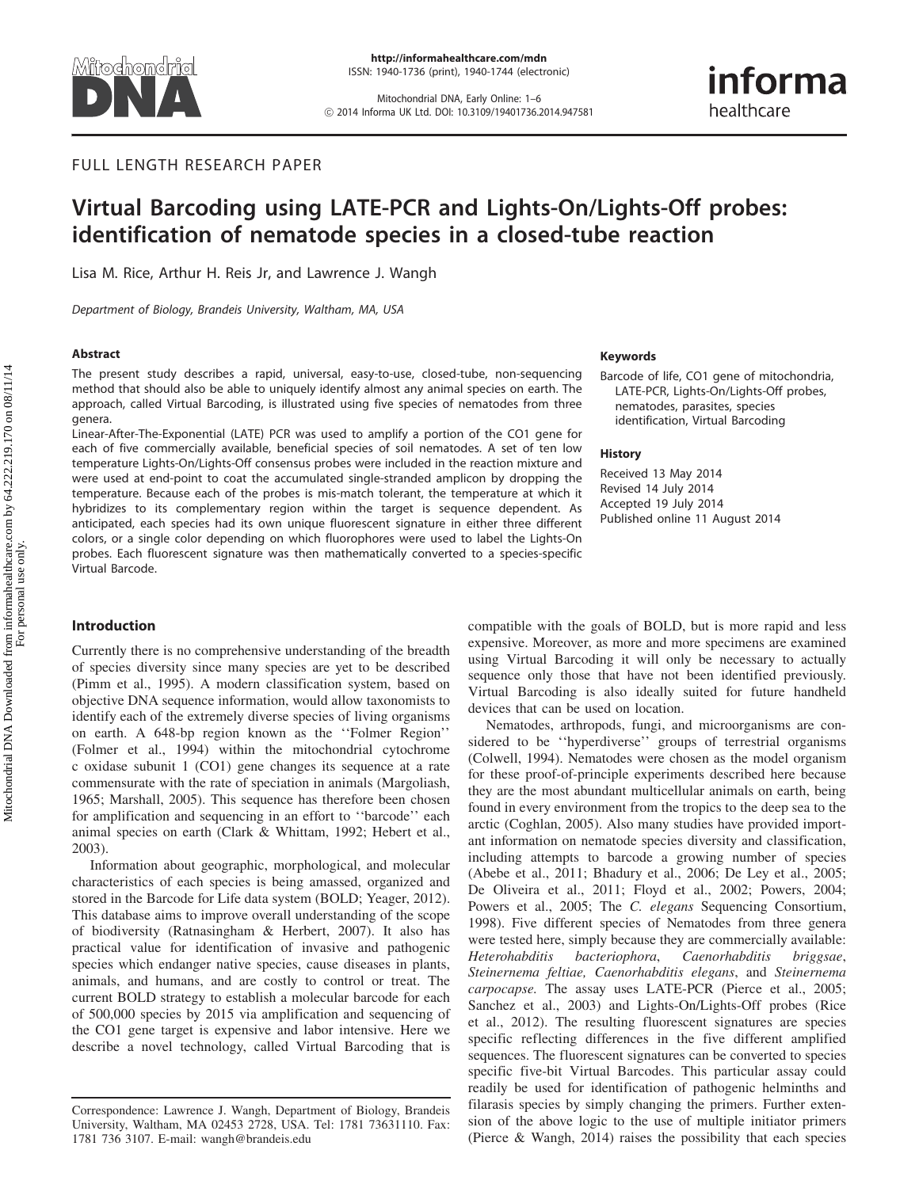

Mitochondrial DNA, Early Online: 1–6 ! 2014 Informa UK Ltd. DOI: 10.3109/19401736.2014.947581 informa healthcare

# FULL LENGTH RESEARCH PAPER

# Virtual Barcoding using LATE-PCR and Lights-On/Lights-Off probes: identification of nematode species in a closed-tube reaction

Lisa M. Rice, Arthur H. Reis Jr, and Lawrence J. Wangh

Department of Biology, Brandeis University, Waltham, MA, USA

### Abstract

The present study describes a rapid, universal, easy-to-use, closed-tube, non-sequencing method that should also be able to uniquely identify almost any animal species on earth. The approach, called Virtual Barcoding, is illustrated using five species of nematodes from three genera.

Linear-After-The-Exponential (LATE) PCR was used to amplify a portion of the CO1 gene for each of five commercially available, beneficial species of soil nematodes. A set of ten low temperature Lights-On/Lights-Off consensus probes were included in the reaction mixture and were used at end-point to coat the accumulated single-stranded amplicon by dropping the temperature. Because each of the probes is mis-match tolerant, the temperature at which it hybridizes to its complementary region within the target is sequence dependent. As anticipated, each species had its own unique fluorescent signature in either three different colors, or a single color depending on which fluorophores were used to label the Lights-On probes. Each fluorescent signature was then mathematically converted to a species-specific Virtual Barcode.

# Introduction

Currently there is no comprehensive understanding of the breadth of species diversity since many species are yet to be described (Pimm et al., [1995](#page-5-0)). A modern classification system, based on objective DNA sequence information, would allow taxonomists to identify each of the extremely diverse species of living organisms on earth. A 648-bp region known as the ''Folmer Region'' (Folmer et al., [1994](#page-5-0)) within the mitochondrial cytochrome c oxidase subunit 1 (CO1) gene changes its sequence at a rate commensurate with the rate of speciation in animals (Margoliash, 1965; Marshall, [2005](#page-5-0)). This sequence has therefore been chosen for amplification and sequencing in an effort to ''barcode'' each animal species on earth (Clark & Whittam, 1992; Hebert et al., [2003\)](#page-5-0).

Information about geographic, morphological, and molecular characteristics of each species is being amassed, organized and stored in the Barcode for Life data system (BOLD; Yeager, [2012](#page-5-0)). This database aims to improve overall understanding of the scope of biodiversity (Ratnasingham & Herbert, [2007](#page-5-0)). It also has practical value for identification of invasive and pathogenic species which endanger native species, cause diseases in plants, animals, and humans, and are costly to control or treat. The current BOLD strategy to establish a molecular barcode for each of 500,000 species by 2015 via amplification and sequencing of the CO1 gene target is expensive and labor intensive. Here we describe a novel technology, called Virtual Barcoding that is

## Keywords

Barcode of life, CO1 gene of mitochondria, LATE-PCR, Lights-On/Lights-Off probes, nematodes, parasites, species identification, Virtual Barcoding

### **History**

Received 13 May 2014 Revised 14 July 2014 Accepted 19 July 2014 Published online 11 August 2014

compatible with the goals of BOLD, but is more rapid and less expensive. Moreover, as more and more specimens are examined using Virtual Barcoding it will only be necessary to actually sequence only those that have not been identified previously. Virtual Barcoding is also ideally suited for future handheld devices that can be used on location.

Nematodes, arthropods, fungi, and microorganisms are considered to be ''hyperdiverse'' groups of terrestrial organisms (Colwell, [1994](#page-5-0)). Nematodes were chosen as the model organism for these proof-of-principle experiments described here because they are the most abundant multicellular animals on earth, being found in every environment from the tropics to the deep sea to the arctic (Coghlan, [2005](#page-5-0)). Also many studies have provided important information on nematode species diversity and classification, including attempts to barcode a growing number of species (Abebe et al., [2011](#page-4-0); Bhadury et al., [2006;](#page-4-0) De Ley et al., [2005](#page-5-0); De Oliveira et al., [2011](#page-5-0); Floyd et al., [2002;](#page-5-0) Powers, [2004](#page-5-0); Powers et al., [2005;](#page-5-0) The C. elegans Sequencing Consortium, 1998). Five different species of Nematodes from three genera were tested here, simply because they are commercially available: Heterohabditis bacteriophora, Caenorhabditis briggsae, Steinernema feltiae, Caenorhabditis elegans, and Steinernema carpocapse. The assay uses LATE-PCR (Pierce et al., [2005](#page-5-0); Sanchez et al., [2003\)](#page-5-0) and Lights-On/Lights-Off probes (Rice et al., [2012](#page-5-0)). The resulting fluorescent signatures are species specific reflecting differences in the five different amplified sequences. The fluorescent signatures can be converted to species specific five-bit Virtual Barcodes. This particular assay could readily be used for identification of pathogenic helminths and filarasis species by simply changing the primers. Further extension of the above logic to the use of multiple initiator primers (Pierce & Wangh, [2014\)](#page-5-0) raises the possibility that each species

Correspondence: Lawrence J. Wangh, Department of Biology, Brandeis University, Waltham, MA 02453 2728, USA. Tel: 1781 73631110. Fax: 1781 736 3107. E-mail: wangh@brandeis.edu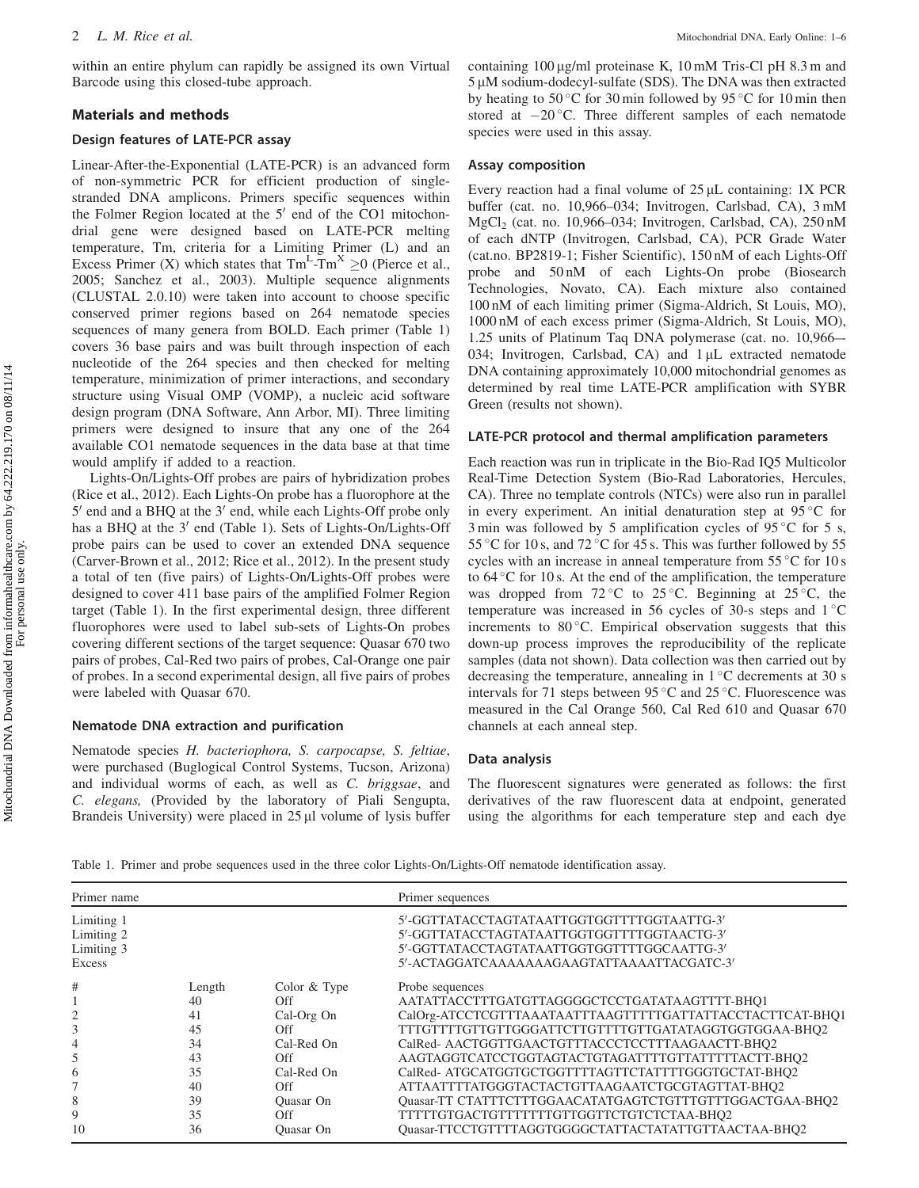within an entire phylum can rapidly be assigned its own Virtual Barcode using this closed-tube approach.

### Materials and methods

## Design features of LATE-PCR assay

Linear-After-the-Exponential (LATE-PCR) is an advanced form of non-symmetric PCR for efficient production of singlestranded DNA amplicons. Primers specific sequences within the Folmer Region located at the  $5'$  end of the CO1 mitochondrial gene were designed based on LATE-PCR melting temperature, Tm, criteria for a Limiting Primer (L) and an Excess Primer (X) which states that  $\text{Tm}^{\text{L}}\text{-}\text{Tm}^{\text{X}} \ge 0$  (Pierce et al., [2005;](#page-5-0) Sanchez et al., [2003\)](#page-5-0). Multiple sequence alignments (CLUSTAL 2.0.10) were taken into account to choose specific conserved primer regions based on 264 nematode species sequences of many genera from BOLD. Each primer (Table 1) covers 36 base pairs and was built through inspection of each nucleotide of the 264 species and then checked for melting temperature, minimization of primer interactions, and secondary structure using Visual OMP (VOMP), a nucleic acid software design program (DNA Software, Ann Arbor, MI). Three limiting primers were designed to insure that any one of the 264 available CO1 nematode sequences in the data base at that time would amplify if added to a reaction.

Lights-On/Lights-Off probes are pairs of hybridization probes (Rice et al., [2012](#page-5-0)). Each Lights-On probe has a fluorophore at the  $5'$  end and a BHQ at the  $3'$  end, while each Lights-Off probe only has a BHQ at the 3' end (Table 1). Sets of Lights-On/Lights-Off probe pairs can be used to cover an extended DNA sequence (Carver-Brown et al., [2012;](#page-5-0) Rice et al., [2012\)](#page-5-0). In the present study a total of ten (five pairs) of Lights-On/Lights-Off probes were designed to cover 411 base pairs of the amplified Folmer Region target (Table 1). In the first experimental design, three different fluorophores were used to label sub-sets of Lights-On probes covering different sections of the target sequence: Quasar 670 two pairs of probes, Cal-Red two pairs of probes, Cal-Orange one pair of probes. In a second experimental design, all five pairs of probes were labeled with Quasar 670.

# Nematode DNA extraction and purification

Nematode species H. bacteriophora, S. carpocapse, S. feltiae, were purchased (Buglogical Control Systems, Tucson, Arizona) and individual worms of each, as well as C. briggsae, and C. elegans, (Provided by the laboratory of Piali Sengupta, Brandeis University) were placed in  $25 \mu$ l volume of lysis buffer containing  $100 \mu g/ml$  proteinase K,  $10 \text{ mM}$  Tris-Cl pH 8.3 m and  $5 \mu$ M sodium-dodecyl-sulfate (SDS). The DNA was then extracted by heating to 50 °C for 30 min followed by 95 °C for 10 min then stored at  $-20^{\circ}$ C. Three different samples of each nematode species were used in this assay.

#### Assay composition

Every reaction had a final volume of  $25 \mu L$  containing: 1X PCR buffer (cat. no. 10,966–034; Invitrogen, Carlsbad, CA), 3 mM MgCl2 (cat. no. 10,966–034; Invitrogen, Carlsbad, CA), 250 nM of each dNTP (Invitrogen, Carlsbad, CA), PCR Grade Water (cat.no. BP2819-1; Fisher Scientific), 150 nM of each Lights-Off probe and 50 nM of each Lights-On probe (Biosearch Technologies, Novato, CA). Each mixture also contained 100 nM of each limiting primer (Sigma-Aldrich, St Louis, MO), 1000 nM of each excess primer (Sigma-Aldrich, St Louis, MO), 1.25 units of Platinum Taq DNA polymerase (cat. no. 10,966–- 034; Invitrogen, Carlsbad, CA) and  $1 \mu$ L extracted nematode DNA containing approximately 10,000 mitochondrial genomes as determined by real time LATE-PCR amplification with SYBR Green (results not shown).

# LATE-PCR protocol and thermal amplification parameters

Each reaction was run in triplicate in the Bio-Rad IQ5 Multicolor Real-Time Detection System (Bio-Rad Laboratories, Hercules, CA). Three no template controls (NTCs) were also run in parallel in every experiment. An initial denaturation step at  $95^{\circ}$ C for 3 min was followed by 5 amplification cycles of 95 $\degree$ C for 5 s, 55 °C for 10 s, and 72 °C for 45 s. This was further followed by 55 cycles with an increase in anneal temperature from  $55^{\circ}$ C for 10 s to  $64^{\circ}$ C for 10 s. At the end of the amplification, the temperature was dropped from  $72^{\circ}$ C to  $25^{\circ}$ C. Beginning at  $25^{\circ}$ C, the temperature was increased in 56 cycles of 30-s steps and  $1^{\circ}$ C increments to  $80^{\circ}$ C. Empirical observation suggests that this down-up process improves the reproducibility of the replicate samples (data not shown). Data collection was then carried out by decreasing the temperature, annealing in  $1^{\circ}$ C decrements at 30 s intervals for 71 steps between  $95^{\circ}$ C and  $25^{\circ}$ C. Fluorescence was measured in the Cal Orange 560, Cal Red 610 and Quasar 670 channels at each anneal step.

### Data analysis

The fluorescent signatures were generated as follows: the first derivatives of the raw fluorescent data at endpoint, generated using the algorithms for each temperature step and each dye

Table 1. Primer and probe sequences used in the three color Lights-On/Lights-Off nematode identification assay.

| Primer name                                      |                                                        |                                                                                                        | Primer sequences                                                                                                                                                                                                                                                                                                                                                                                                                                                   |
|--------------------------------------------------|--------------------------------------------------------|--------------------------------------------------------------------------------------------------------|--------------------------------------------------------------------------------------------------------------------------------------------------------------------------------------------------------------------------------------------------------------------------------------------------------------------------------------------------------------------------------------------------------------------------------------------------------------------|
| Limiting 1<br>Limiting 2<br>Limiting 3<br>Excess |                                                        |                                                                                                        | 5'-GGTTATACCTAGTATAATTGGTGGTTTTGGTAATTG-3'<br>5'-GGTTATACCTAGTATAATTGGTGGTTTTGGTAACTG-3'<br>5'-GGTTATACCTAGTATAATTGGTGGTTTTGGCAATTG-3'<br>5'-ACTAGGATCAAAAAAAGAAGTATTAAAATTACGATC-3'                                                                                                                                                                                                                                                                               |
| #<br>3<br>5<br>6<br>8                            | Length<br>40<br>41<br>45<br>34<br>43<br>35<br>40<br>39 | Color & Type<br>Off<br>Cal-Org On<br>Off<br>Cal-Red On<br>Off<br>Cal-Red On<br>Off<br><b>Ouasar On</b> | Probe sequences<br>AATATTACCTTTGATGTTAGGGGCTCCTGATATAAGTTTT-BHO1<br>CalOrg-ATCCTCGTTTAAATAATTTAAGTTTTTGATTATTACCTACTTCAT-BHQ1<br>TTTGTTTGTTGTTGGGATTCTTGTTTGTTGATATAGGTGGTGGAA-BHQ2<br>CalRed- AACTGGTTGAACTGTTTACCCTCCTTTAAGAACTT-BHQ2<br>AAGTAGGTCATCCTGGTAGTACTGTAGATTTTGTTATTTTTACTT-BHO2<br>CalRed-ATGCATGGTGCTGGTTTTAGTTCTATTTTGGGTGCTAT-BHO2<br>ATTAATTTTATGGGTACTACTGTTAAGAATCTGCGTAGTTAT-BHQ2<br>Quasar-TT CTATTTCTTTGGAACATATGAGTCTGTTTGTTTGGACTGAA-BHQ2 |
| 9<br>10                                          | 35<br>36                                               | Off<br>Quasar On                                                                                       | TTTTTGTGACTGTTTTTTTGTTGGTTCTGTCTCTAA-BHQ2<br>Ouasar-TTCCTGTTTTAGGTGGGGCTATTACTATATTGTTAACTAA-BHO2                                                                                                                                                                                                                                                                                                                                                                  |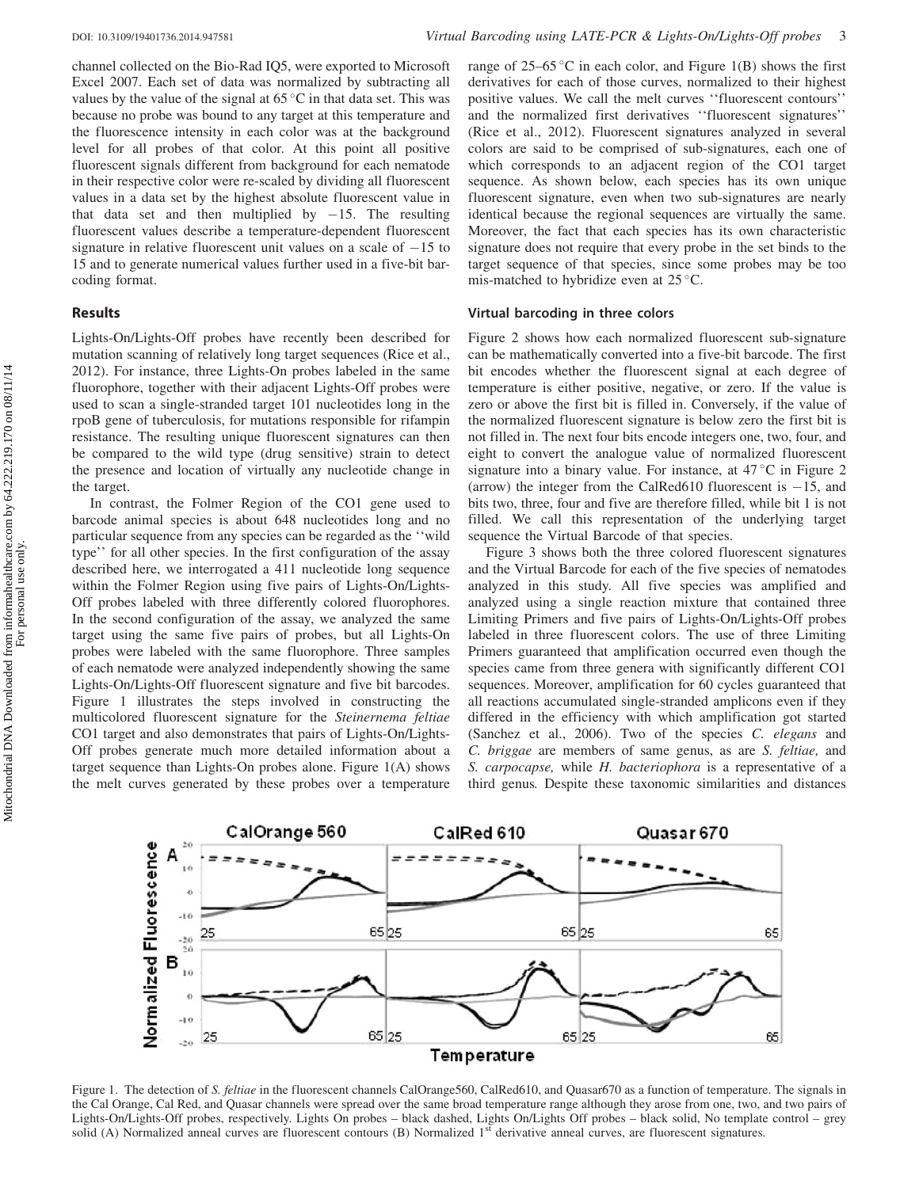channel collected on the Bio-Rad IQ5, were exported to Microsoft Excel 2007. Each set of data was normalized by subtracting all values by the value of the signal at  $65^{\circ}$ C in that data set. This was because no probe was bound to any target at this temperature and the fluorescence intensity in each color was at the background level for all probes of that color. At this point all positive fluorescent signals different from background for each nematode in their respective color were re-scaled by dividing all fluorescent values in a data set by the highest absolute fluorescent value in that data set and then multiplied by  $-15$ . The resulting fluorescent values describe a temperature-dependent fluorescent signature in relative fluorescent unit values on a scale of  $-15$  to 15 and to generate numerical values further used in a five-bit barcoding format.

# Results

Lights-On/Lights-Off probes have recently been described for mutation scanning of relatively long target sequences (Rice et al., [2012\)](#page-5-0). For instance, three Lights-On probes labeled in the same fluorophore, together with their adjacent Lights-Off probes were used to scan a single-stranded target 101 nucleotides long in the rpoB gene of tuberculosis, for mutations responsible for rifampin resistance. The resulting unique fluorescent signatures can then be compared to the wild type (drug sensitive) strain to detect the presence and location of virtually any nucleotide change in the target.

In contrast, the Folmer Region of the CO1 gene used to barcode animal species is about 648 nucleotides long and no particular sequence from any species can be regarded as the ''wild type'' for all other species. In the first configuration of the assay described here, we interrogated a 411 nucleotide long sequence within the Folmer Region using five pairs of Lights-On/Lights-Off probes labeled with three differently colored fluorophores. In the second configuration of the assay, we analyzed the same target using the same five pairs of probes, but all Lights-On probes were labeled with the same fluorophore. Three samples of each nematode were analyzed independently showing the same Lights-On/Lights-Off fluorescent signature and five bit barcodes. Figure 1 illustrates the steps involved in constructing the multicolored fluorescent signature for the Steinernema feltiae CO1 target and also demonstrates that pairs of Lights-On/Lights-Off probes generate much more detailed information about a target sequence than Lights-On probes alone. Figure 1(A) shows the melt curves generated by these probes over a temperature

range of 25–65 °C in each color, and Figure 1(B) shows the first derivatives for each of those curves, normalized to their highest positive values. We call the melt curves ''fluorescent contours'' and the normalized first derivatives ''fluorescent signatures'' (Rice et al., [2012\)](#page-5-0). Fluorescent signatures analyzed in several colors are said to be comprised of sub-signatures, each one of which corresponds to an adjacent region of the CO1 target sequence. As shown below, each species has its own unique fluorescent signature, even when two sub-signatures are nearly identical because the regional sequences are virtually the same. Moreover, the fact that each species has its own characteristic signature does not require that every probe in the set binds to the target sequence of that species, since some probes may be too mis-matched to hybridize even at  $25^{\circ}$ C.

# Virtual barcoding in three colors

[Figure 2](#page-3-0) shows how each normalized fluorescent sub-signature can be mathematically converted into a five-bit barcode. The first bit encodes whether the fluorescent signal at each degree of temperature is either positive, negative, or zero. If the value is zero or above the first bit is filled in. Conversely, if the value of the normalized fluorescent signature is below zero the first bit is not filled in. The next four bits encode integers one, two, four, and eight to convert the analogue value of normalized fluorescent signature into a binary value. For instance, at  $47^{\circ}$ C in [Figure 2](#page-3-0) (arrow) the integer from the CalRed610 fluorescent is  $-15$ , and bits two, three, four and five are therefore filled, while bit 1 is not filled. We call this representation of the underlying target sequence the Virtual Barcode of that species.

[Figure 3](#page-3-0) shows both the three colored fluorescent signatures and the Virtual Barcode for each of the five species of nematodes analyzed in this study. All five species was amplified and analyzed using a single reaction mixture that contained three Limiting Primers and five pairs of Lights-On/Lights-Off probes labeled in three fluorescent colors. The use of three Limiting Primers guaranteed that amplification occurred even though the species came from three genera with significantly different CO1 sequences. Moreover, amplification for 60 cycles guaranteed that all reactions accumulated single-stranded amplicons even if they differed in the efficiency with which amplification got started (Sanchez et al., [2006\)](#page-5-0). Two of the species C. elegans and C. briggae are members of same genus, as are S. feltiae, and S. carpocapse, while H. bacteriophora is a representative of a third genus. Despite these taxonomic similarities and distances



Figure 1. The detection of S. feltiae in the fluorescent channels CalOrange560, CalRed610, and Quasar670 as a function of temperature. The signals in the Cal Orange, Cal Red, and Quasar channels were spread over the same broad temperature range although they arose from one, two, and two pairs of Lights-On/Lights-Off probes, respectively. Lights On probes – black dashed, Lights On/Lights Off probes – black solid, No template control – grey solid (A) Normalized anneal curves are fluorescent contours (B) Normalized  $1<sup>st</sup>$  derivative anneal curves, are fluorescent signatures.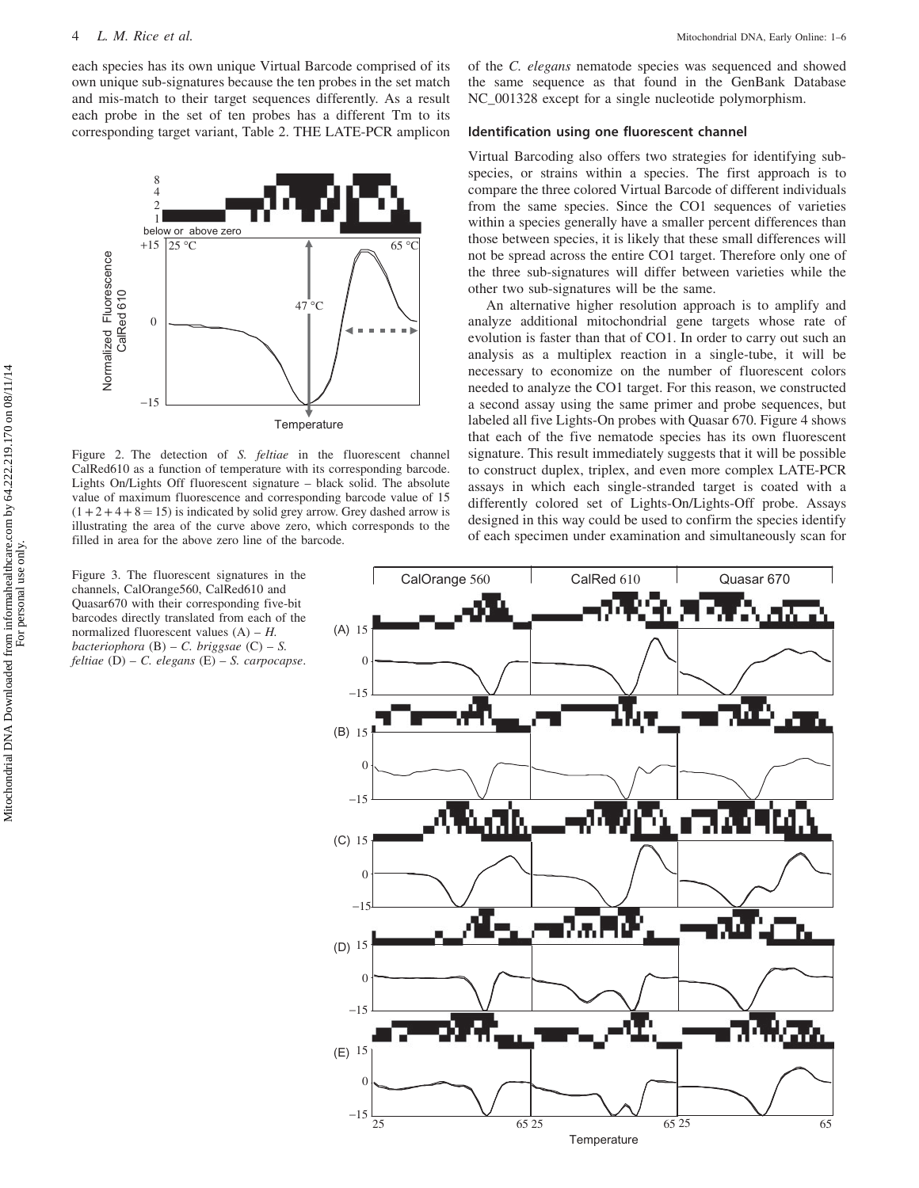<span id="page-3-0"></span>each species has its own unique Virtual Barcode comprised of its own unique sub-signatures because the ten probes in the set match and mis-match to their target sequences differently. As a result each probe in the set of ten probes has a different Tm to its corresponding target variant, [Table 2.](#page-4-0) THE LATE-PCR amplicon



Figure 2. The detection of S. feltiae in the fluorescent channel CalRed610 as a function of temperature with its corresponding barcode. Lights On/Lights Off fluorescent signature – black solid. The absolute value of maximum fluorescence and corresponding barcode value of 15  $(1 + 2 + 4 + 8 = 15)$  is indicated by solid grey arrow. Grey dashed arrow is illustrating the area of the curve above zero, which corresponds to the filled in area for the above zero line of the barcode.

Figure 3. The fluorescent signatures in the channels, CalOrange560, CalRed610 and Quasar670 with their corresponding five-bit barcodes directly translated from each of the normalized fluorescent values  $(A) - H$ . bacteriophora  $(B) - C$ . briggsae  $(C) - S$ . feltiae  $(D)$  – C. elegans  $(E)$  – S. carpocapse. of the C. elegans nematode species was sequenced and showed the same sequence as that found in the GenBank Database NC\_001328 except for a single nucleotide polymorphism.

# Identification using one fluorescent channel

Virtual Barcoding also offers two strategies for identifying subspecies, or strains within a species. The first approach is to compare the three colored Virtual Barcode of different individuals from the same species. Since the CO1 sequences of varieties within a species generally have a smaller percent differences than those between species, it is likely that these small differences will not be spread across the entire CO1 target. Therefore only one of the three sub-signatures will differ between varieties while the other two sub-signatures will be the same.

An alternative higher resolution approach is to amplify and analyze additional mitochondrial gene targets whose rate of evolution is faster than that of CO1. In order to carry out such an analysis as a multiplex reaction in a single-tube, it will be necessary to economize on the number of fluorescent colors needed to analyze the CO1 target. For this reason, we constructed a second assay using the same primer and probe sequences, but labeled all five Lights-On probes with Quasar 670. [Figure 4](#page-4-0) shows that each of the five nematode species has its own fluorescent signature. This result immediately suggests that it will be possible to construct duplex, triplex, and even more complex LATE-PCR assays in which each single-stranded target is coated with a differently colored set of Lights-On/Lights-Off probe. Assays designed in this way could be used to confirm the species identify of each specimen under examination and simultaneously scan for

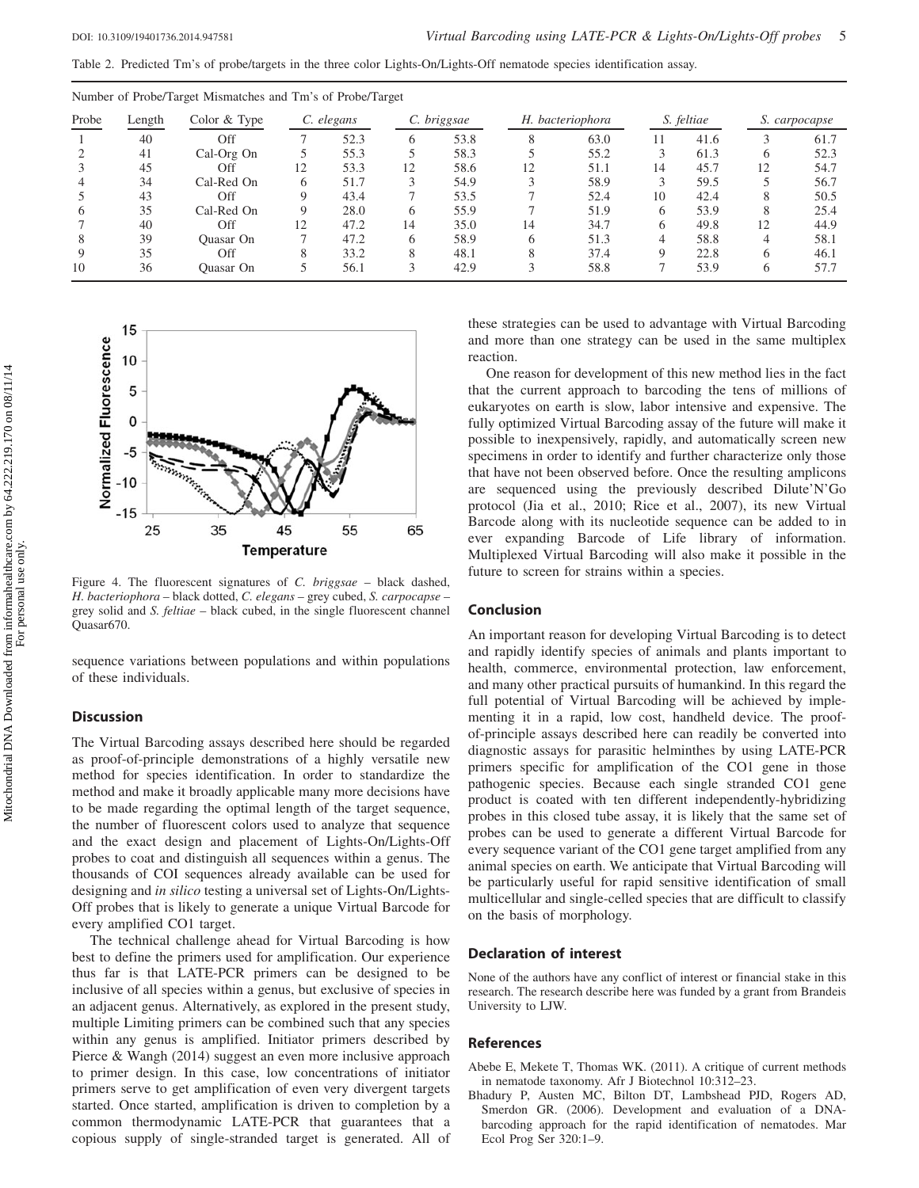<span id="page-4-0"></span>Table 2. Predicted Tm's of probe/targets in the three color Lights-On/Lights-Off nematode species identification assay.

| Probe | Length | Color $&$ Type | C. elegans   |      | C. briggsae |      | H. bacteriophora |      | S. feltiae |      | S. carpocapse |      |
|-------|--------|----------------|--------------|------|-------------|------|------------------|------|------------|------|---------------|------|
|       | 40     | Off            |              | 52.3 | 6           | 53.8 | 8                | 63.0 | 11         | 41.6 |               | 61.7 |
|       | 41     | Cal-Org On     |              | 55.3 |             | 58.3 |                  | 55.2 |            | 61.3 |               | 52.3 |
|       | 45     | Off            | 12           | 53.3 | 12          | 58.6 | 12               | 51.1 | 14         | 45.7 | 12            | 54.7 |
|       | 34     | Cal-Red On     | <sub>(</sub> | 51.7 |             | 54.9 |                  | 58.9 |            | 59.5 |               | 56.7 |
|       | 43     | Off            |              | 43.4 |             | 53.5 |                  | 52.4 | 10         | 42.4 |               | 50.5 |
| h     | 35     | Cal-Red On     |              | 28.0 | 6           | 55.9 |                  | 51.9 |            | 53.9 |               | 25.4 |
|       | 40     | Off            | 12           | 47.2 | 14          | 35.0 | 14               | 34.7 |            | 49.8 | 12            | 44.9 |
|       | 39     | Quasar On      |              | 47.2 | 6           | 58.9 | 6                | 51.3 | 4          | 58.8 |               | 58.1 |
|       | 35     | Off            |              | 33.2 | 8           | 48.1 | 8                | 37.4 |            | 22.8 |               | 46.1 |
| 10    | 36     | Quasar On      |              | 56.1 |             | 42.9 |                  | 58.8 |            | 53.9 |               | 57.7 |

Number of Probe/Target Mismatches and Tm's of Probe/Target



Figure 4. The fluorescent signatures of C. briggsae – black dashed, H. bacteriophora – black dotted, C. elegans – grey cubed, S. carpocapse – grey solid and S. feltiae – black cubed, in the single fluorescent channel Quasar670.

sequence variations between populations and within populations of these individuals.

# **Discussion**

The Virtual Barcoding assays described here should be regarded as proof-of-principle demonstrations of a highly versatile new method for species identification. In order to standardize the method and make it broadly applicable many more decisions have to be made regarding the optimal length of the target sequence, the number of fluorescent colors used to analyze that sequence and the exact design and placement of Lights-On/Lights-Off probes to coat and distinguish all sequences within a genus. The thousands of COI sequences already available can be used for designing and in silico testing a universal set of Lights-On/Lights-Off probes that is likely to generate a unique Virtual Barcode for every amplified CO1 target.

The technical challenge ahead for Virtual Barcoding is how best to define the primers used for amplification. Our experience thus far is that LATE-PCR primers can be designed to be inclusive of all species within a genus, but exclusive of species in an adjacent genus. Alternatively, as explored in the present study, multiple Limiting primers can be combined such that any species within any genus is amplified. Initiator primers described by Pierce & Wangh [\(2014](#page-5-0)) suggest an even more inclusive approach to primer design. In this case, low concentrations of initiator primers serve to get amplification of even very divergent targets started. Once started, amplification is driven to completion by a common thermodynamic LATE-PCR that guarantees that a copious supply of single-stranded target is generated. All of

these strategies can be used to advantage with Virtual Barcoding and more than one strategy can be used in the same multiplex reaction.

One reason for development of this new method lies in the fact that the current approach to barcoding the tens of millions of eukaryotes on earth is slow, labor intensive and expensive. The fully optimized Virtual Barcoding assay of the future will make it possible to inexpensively, rapidly, and automatically screen new specimens in order to identify and further characterize only those that have not been observed before. Once the resulting amplicons are sequenced using the previously described Dilute'N'Go protocol (Jia et al., 2010; Rice et al., [2007](#page-5-0)), its new Virtual Barcode along with its nucleotide sequence can be added to in ever expanding Barcode of Life library of information. Multiplexed Virtual Barcoding will also make it possible in the future to screen for strains within a species.

# Conclusion

An important reason for developing Virtual Barcoding is to detect and rapidly identify species of animals and plants important to health, commerce, environmental protection, law enforcement, and many other practical pursuits of humankind. In this regard the full potential of Virtual Barcoding will be achieved by implementing it in a rapid, low cost, handheld device. The proofof-principle assays described here can readily be converted into diagnostic assays for parasitic helminthes by using LATE-PCR primers specific for amplification of the CO1 gene in those pathogenic species. Because each single stranded CO1 gene product is coated with ten different independently-hybridizing probes in this closed tube assay, it is likely that the same set of probes can be used to generate a different Virtual Barcode for every sequence variant of the CO1 gene target amplified from any animal species on earth. We anticipate that Virtual Barcoding will be particularly useful for rapid sensitive identification of small multicellular and single-celled species that are difficult to classify on the basis of morphology.

## Declaration of interest

None of the authors have any conflict of interest or financial stake in this research. The research describe here was funded by a grant from Brandeis University to LJW.

### References

- Abebe E, Mekete T, Thomas WK. (2011). A critique of current methods in nematode taxonomy. Afr J Biotechnol 10:312–23.
- Bhadury P, Austen MC, Bilton DT, Lambshead PJD, Rogers AD, Smerdon GR. (2006). Development and evaluation of a DNAbarcoding approach for the rapid identification of nematodes. Mar Ecol Prog Ser 320:1–9.